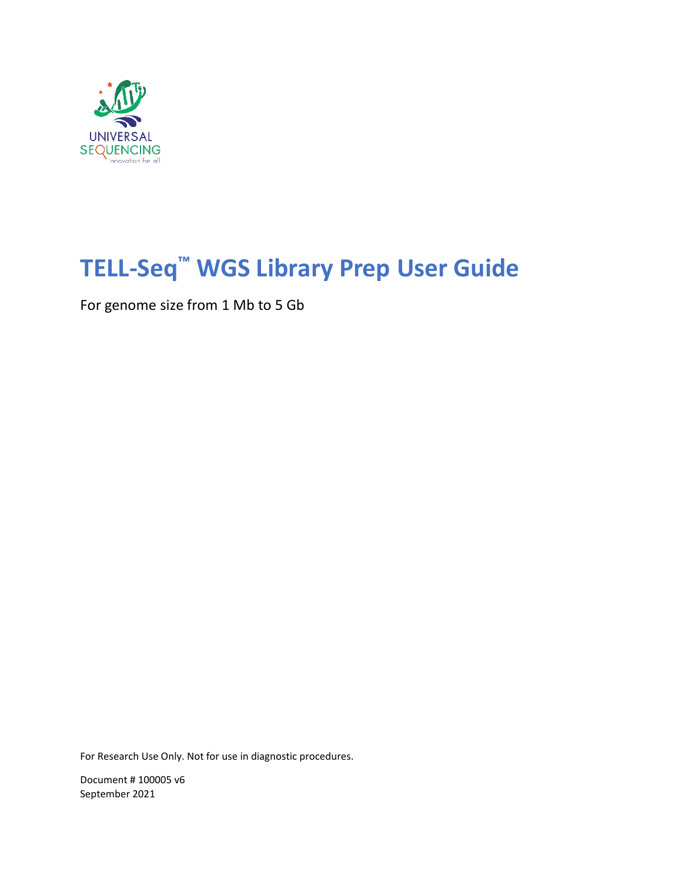

# **TELL-Seq™ WGS Library Prep User Guide**

For genome size from 1 Mb to 5 Gb

For Research Use Only. Not for use in diagnostic procedures.

Document # 100005 v6 September 2021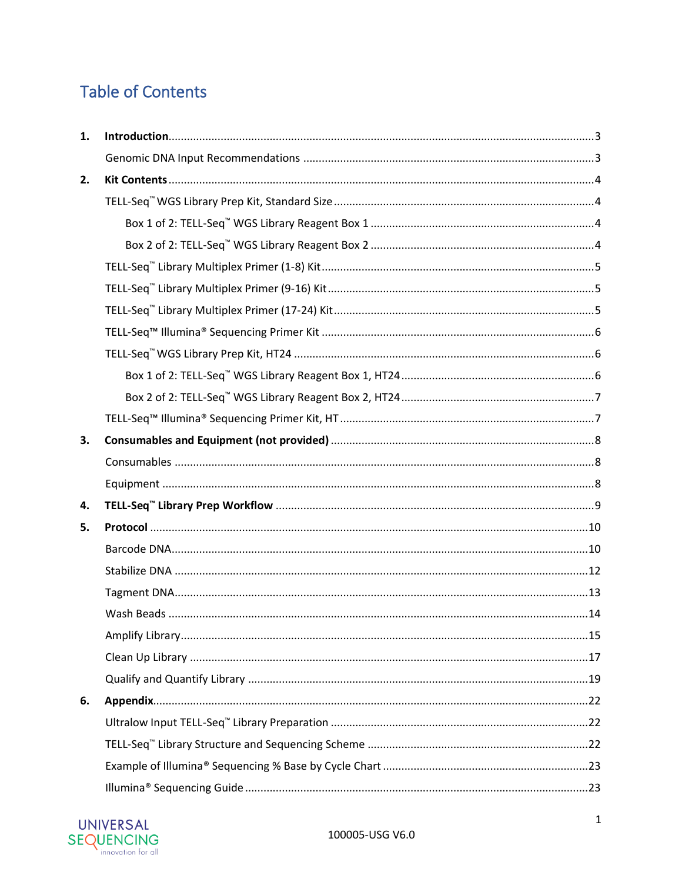## **Table of Contents**

| 1. |  |
|----|--|
|    |  |
| 2. |  |
|    |  |
|    |  |
|    |  |
|    |  |
|    |  |
|    |  |
|    |  |
|    |  |
|    |  |
|    |  |
|    |  |
| 3. |  |
|    |  |
|    |  |
| 4. |  |
| 5. |  |
|    |  |
|    |  |
|    |  |
|    |  |
|    |  |
|    |  |
|    |  |
| 6. |  |
|    |  |
|    |  |
|    |  |
|    |  |

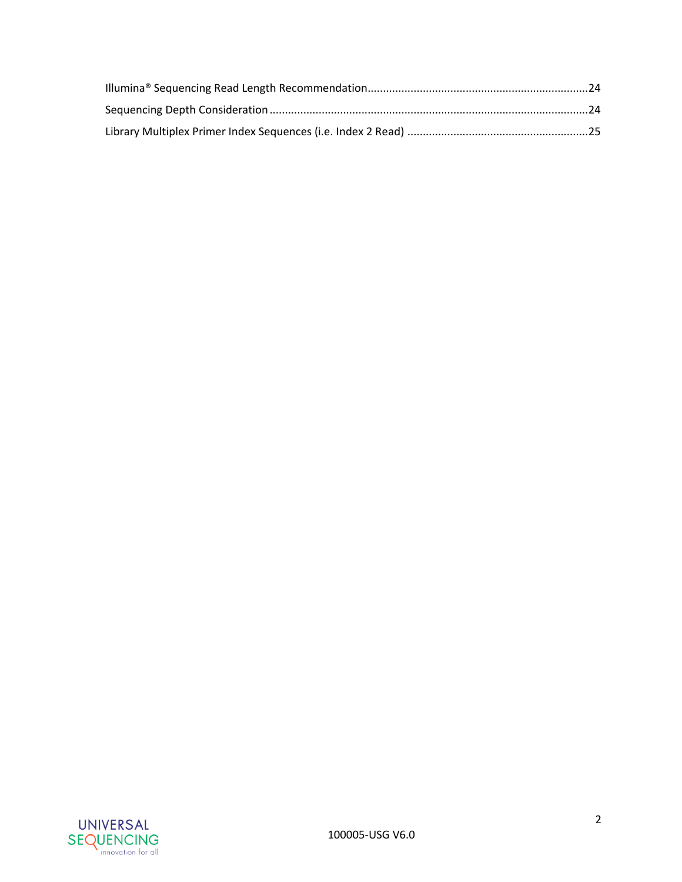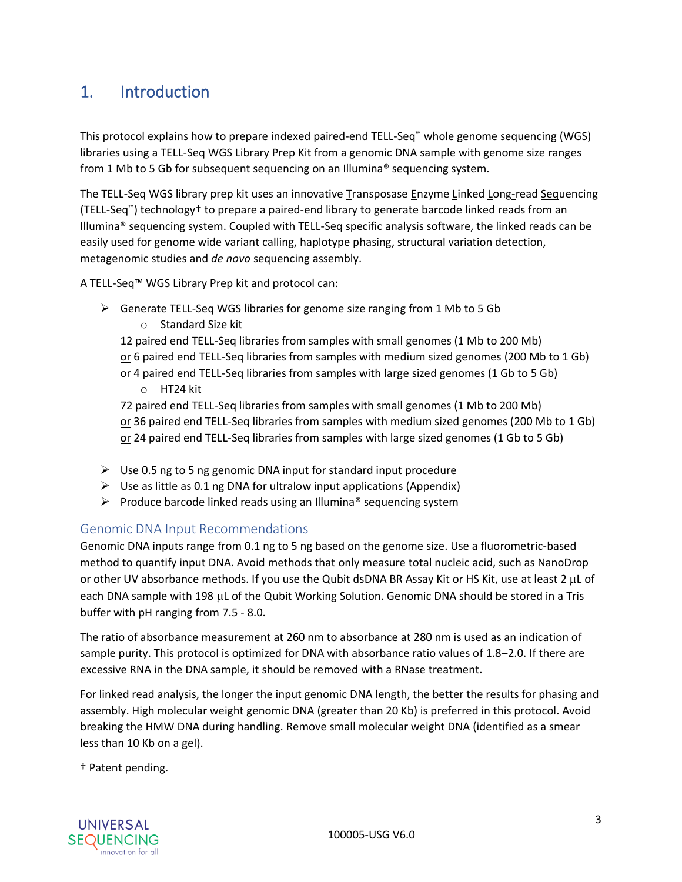## <span id="page-3-0"></span>1. Introduction

This protocol explains how to prepare indexed paired-end TELL-Seq™ whole genome sequencing (WGS) libraries using a TELL-Seq WGS Library Prep Kit from a genomic DNA sample with genome size ranges from 1 Mb to 5 Gb for subsequent sequencing on an Illumina® sequencing system.

The TELL-Seq WGS library prep kit uses an innovative Transposase Enzyme Linked Long-read Sequencing (TELL-Seq™) technology† to prepare a paired-end library to generate barcode linked reads from an Illumina® sequencing system. Coupled with TELL-Seq specific analysis software, the linked reads can be easily used for genome wide variant calling, haplotype phasing, structural variation detection, metagenomic studies and *de novo* sequencing assembly.

A TELL-Seq™ WGS Library Prep kit and protocol can:

- $\triangleright$  Generate TELL-Seq WGS libraries for genome size ranging from 1 Mb to 5 Gb
	- o Standard Size kit

12 paired end TELL-Seq libraries from samples with small genomes (1 Mb to 200 Mb) or 6 paired end TELL-Seq libraries from samples with medium sized genomes (200 Mb to 1 Gb) or 4 paired end TELL-Seq libraries from samples with large sized genomes (1 Gb to 5 Gb)

o HT24 kit

72 paired end TELL-Seq libraries from samples with small genomes (1 Mb to 200 Mb) or 36 paired end TELL-Seq libraries from samples with medium sized genomes (200 Mb to 1 Gb) or 24 paired end TELL-Seq libraries from samples with large sized genomes (1 Gb to 5 Gb)

- $\triangleright$  Use 0.5 ng to 5 ng genomic DNA input for standard input procedure
- $\triangleright$  Use as little as 0.1 ng DNA for ultralow input applications (Appendix)
- $\triangleright$  Produce barcode linked reads using an Illumina® sequencing system

### <span id="page-3-1"></span>Genomic DNA Input Recommendations

Genomic DNA inputs range from 0.1 ng to 5 ng based on the genome size. Use a fluorometric-based method to quantify input DNA. Avoid methods that only measure total nucleic acid, such as NanoDrop or other UV absorbance methods. If you use the Qubit dsDNA BR Assay Kit or HS Kit, use at least 2  $\mu$ L of each DNA sample with 198 µL of the Qubit Working Solution. Genomic DNA should be stored in a Tris buffer with pH ranging from 7.5 - 8.0.

The ratio of absorbance measurement at 260 nm to absorbance at 280 nm is used as an indication of sample purity. This protocol is optimized for DNA with absorbance ratio values of 1.8–2.0. If there are excessive RNA in the DNA sample, it should be removed with a RNase treatment.

For linked read analysis, the longer the input genomic DNA length, the better the results for phasing and assembly. High molecular weight genomic DNA (greater than 20 Kb) is preferred in this protocol. Avoid breaking the HMW DNA during handling. Remove small molecular weight DNA (identified as a smear less than 10 Kb on a gel).

† Patent pending.

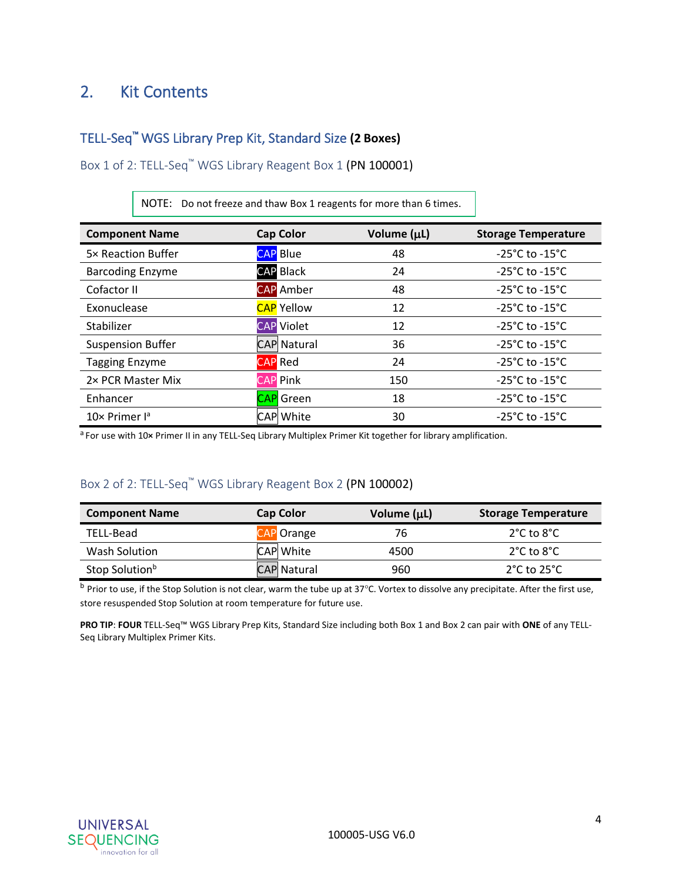## <span id="page-4-0"></span>2. Kit Contents

## <span id="page-4-1"></span>TELL-Seq™ WGS Library Prep Kit, Standard Size **(2 Boxes)**

<span id="page-4-2"></span>Box 1 of 2: TELL-Seq™ WGS Library Reagent Box 1 (PN 100001)

| <b>Component Name</b>     | <b>Cap Color</b>   | Volume (µL) | <b>Storage Temperature</b>           |
|---------------------------|--------------------|-------------|--------------------------------------|
| 5× Reaction Buffer        | <b>CAP</b> Blue    | 48          | $-25^{\circ}$ C to $-15^{\circ}$ C   |
| <b>Barcoding Enzyme</b>   | <b>CAP Black</b>   | 24          | $-25^{\circ}$ C to $-15^{\circ}$ C   |
| Cofactor II               | <b>CAP</b> Amber   | 48          | $-25^{\circ}$ C to $-15^{\circ}$ C   |
| Exonuclease               | <b>CAP</b> Yellow  | 12          | $-25^{\circ}$ C to $-15^{\circ}$ C   |
| Stabilizer                | <b>CAP</b> Violet  | 12          | $-25^{\circ}$ C to $-15^{\circ}$ C   |
| <b>Suspension Buffer</b>  | <b>CAP</b> Natural | 36          | $-25^{\circ}$ C to $-15^{\circ}$ C   |
| <b>Tagging Enzyme</b>     | <b>CAP</b> Red     | 24          | $-25^{\circ}$ C to $-15^{\circ}$ C   |
| 2× PCR Master Mix         | <b>CAP</b> Pink    | 150         | $-25^{\circ}$ C to $-15^{\circ}$ C   |
| Enhancer                  | <b>CAP</b> Green   | 18          | -25 $^{\circ}$ C to -15 $^{\circ}$ C |
| 10× Primer l <sup>a</sup> | <b>CAP White</b>   | 30          | $-25^{\circ}$ C to $-15^{\circ}$ C   |

NOTE: Do not freeze and thaw Box 1 reagents for more than 6 times.

a For use with 10**×** Primer II in any TELL-Seq Library Multiplex Primer Kit together for library amplification.

## <span id="page-4-3"></span>Box 2 of 2: TELL-Seq™ WGS Library Reagent Box 2 (PN 100002)

| <b>Component Name</b>      | <b>Cap Color</b>   | Volume $(\mu L)$ | <b>Storage Temperature</b>       |
|----------------------------|--------------------|------------------|----------------------------------|
| TELL-Bead                  | CAP Orange         | 76               | $2^{\circ}$ C to $8^{\circ}$ C   |
| Wash Solution              | CAP White          | 4500             | $2^{\circ}$ C to $8^{\circ}$ C   |
| Stop Solution <sup>b</sup> | <b>CAP Natural</b> | 960              | $2^{\circ}$ C to 25 $^{\circ}$ C |

<sup>b</sup> Prior to use, if the Stop Solution is not clear, warm the tube up at 37°C. Vortex to dissolve any precipitate. After the first use, store resuspended Stop Solution at room temperature for future use.

**PRO TIP**: **FOUR** TELL-Seq™ WGS Library Prep Kits, Standard Size including both Box 1 and Box 2 can pair with **ONE** of any TELL-Seq Library Multiplex Primer Kits.

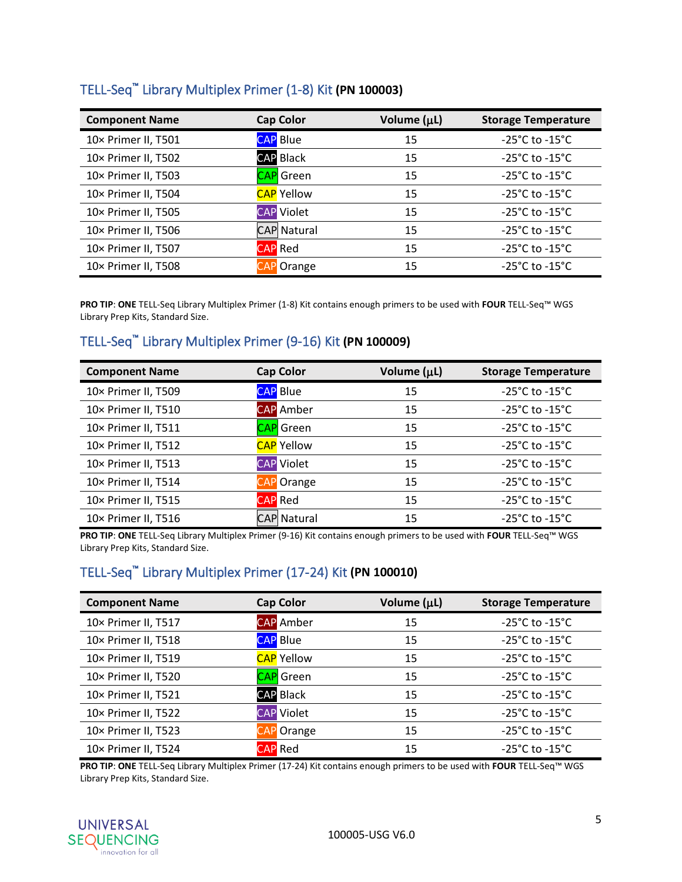<span id="page-5-0"></span>

| TELL-Seq™ Library Multiplex Primer (1-8) Kit (PN 100003) |  |
|----------------------------------------------------------|--|
|----------------------------------------------------------|--|

| <b>Component Name</b> | <b>Cap Color</b>   | Volume (µL) | <b>Storage Temperature</b>         |
|-----------------------|--------------------|-------------|------------------------------------|
| 10× Primer II, T501   | <b>CAP</b> Blue    | 15          | $-25^{\circ}$ C to $-15^{\circ}$ C |
| 10× Primer II, T502   | <b>CAP Black</b>   | 15          | $-25^{\circ}$ C to $-15^{\circ}$ C |
| 10× Primer II, T503   | CAP Green          | 15          | $-25^{\circ}$ C to $-15^{\circ}$ C |
| 10× Primer II, T504   | <b>CAP</b> Yellow  | 15          | $-25^{\circ}$ C to $-15^{\circ}$ C |
| 10× Primer II, T505   | <b>CAP</b> Violet  | 15          | -25°C to -15°C                     |
| 10× Primer II, T506   | <b>CAP Natural</b> | 15          | $-25^{\circ}$ C to $-15^{\circ}$ C |
| 10× Primer II, T507   | <b>CAP</b> Red     | 15          | $-25^{\circ}$ C to $-15^{\circ}$ C |
| 10× Primer II, T508   | Orange             | 15          | -25°C to -15°C                     |

**PRO TIP**: **ONE** TELL-Seq Library Multiplex Primer (1-8) Kit contains enough primers to be used with **FOUR** TELL-Seq™ WGS Library Prep Kits, Standard Size.

## <span id="page-5-1"></span>TELL-Seq™ Library Multiplex Primer (9-16) Kit **(PN 100009)**

| <b>Component Name</b> | <b>Cap Color</b>   | Volume (µL) | <b>Storage Temperature</b>         |
|-----------------------|--------------------|-------------|------------------------------------|
| 10× Primer II, T509   | <b>CAP</b> Blue    | 15          | $-25^{\circ}$ C to $-15^{\circ}$ C |
| 10× Primer II, T510   | <b>CAP</b> Amber   | 15          | $-25^{\circ}$ C to $-15^{\circ}$ C |
| 10× Primer II, T511   | CAP Green          | 15          | $-25^{\circ}$ C to $-15^{\circ}$ C |
| 10× Primer II, T512   | <b>CAP</b> Yellow  | 15          | $-25^{\circ}$ C to $-15^{\circ}$ C |
| 10× Primer II, T513   | <b>CAP</b> Violet  | 15          | $-25^{\circ}$ C to $-15^{\circ}$ C |
| 10× Primer II, T514   | CAP Orange         | 15          | $-25^{\circ}$ C to $-15^{\circ}$ C |
| 10× Primer II, T515   | <b>CAP</b> Red     | 15          | $-25^{\circ}$ C to $-15^{\circ}$ C |
| 10× Primer II, T516   | <b>CAP Natural</b> | 15          | $-25^{\circ}$ C to $-15^{\circ}$ C |

**PRO TIP**: **ONE** TELL-Seq Library Multiplex Primer (9-16) Kit contains enough primers to be used with **FOUR** TELL-Seq™ WGS Library Prep Kits, Standard Size.

## <span id="page-5-2"></span>TELL-Seq™ Library Multiplex Primer (17-24) Kit **(PN 100010)**

| <b>Component Name</b> | <b>Cap Color</b>  | Volume (µL) | <b>Storage Temperature</b>         |
|-----------------------|-------------------|-------------|------------------------------------|
| 10× Primer II, T517   | <b>CAP</b> Amber  | 15          | $-25^{\circ}$ C to $-15^{\circ}$ C |
| 10× Primer II, T518   | <b>CAP</b> Blue   | 15          | $-25^{\circ}$ C to $-15^{\circ}$ C |
| 10× Primer II, T519   | <b>CAP</b> Yellow | 15          | $-25^{\circ}$ C to $-15^{\circ}$ C |
| 10× Primer II, T520   | CAP Green         | 15          | $-25^{\circ}$ C to $-15^{\circ}$ C |
| 10× Primer II, T521   | <b>CAP Black</b>  | 15          | $-25^{\circ}$ C to $-15^{\circ}$ C |
| 10× Primer II, T522   | <b>CAP</b> Violet | 15          | $-25^{\circ}$ C to $-15^{\circ}$ C |
| 10× Primer II, T523   | <b>CAP</b> Orange | 15          | $-25^{\circ}$ C to $-15^{\circ}$ C |
| 10× Primer II, T524   | <b>CAP</b> Red    | 15          | $-25^{\circ}$ C to $-15^{\circ}$ C |

**PRO TIP**: **ONE** TELL-Seq Library Multiplex Primer (17-24) Kit contains enough primers to be used with **FOUR** TELL-Seq™ WGS Library Prep Kits, Standard Size.

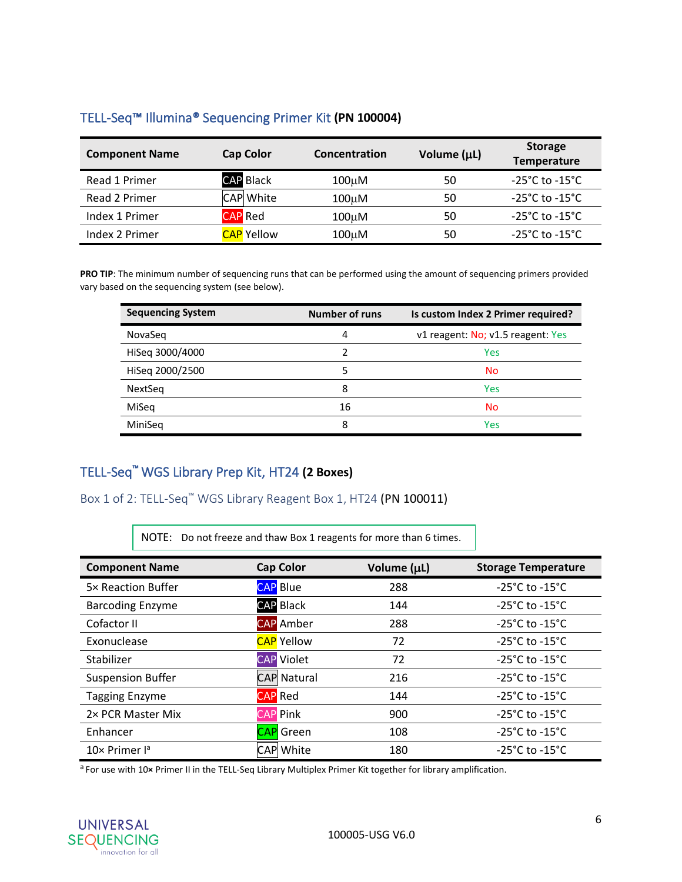| <b>Component Name</b> | <b>Cap Color</b>        | Concentration | Volume (µL) | <b>Storage</b><br>Temperature      |
|-----------------------|-------------------------|---------------|-------------|------------------------------------|
| Read 1 Primer         | <b>CAP Black</b>        | $100 \mu M$   | 50          | $-25^{\circ}$ C to $-15^{\circ}$ C |
| Read 2 Primer         | <b>CAP</b> White        | 100uM         | 50          | $-25^{\circ}$ C to $-15^{\circ}$ C |
| Index 1 Primer        | <b>CAP</b> Red          | $100 \mu M$   | 50          | $-25^{\circ}$ C to $-15^{\circ}$ C |
| Index 2 Primer        | <mark>CAP</mark> Yellow | $100 \mu M$   | 50          | $-25^{\circ}$ C to $-15^{\circ}$ C |

## <span id="page-6-0"></span>TELL-Seq™ Illumina® Sequencing Primer Kit **(PN 100004)**

**PRO TIP**: The minimum number of sequencing runs that can be performed using the amount of sequencing primers provided vary based on the sequencing system (see below).

| <b>Sequencing System</b> | <b>Number of runs</b> | Is custom Index 2 Primer required? |
|--------------------------|-----------------------|------------------------------------|
| NovaSeg                  | 4                     | v1 reagent: No; v1.5 reagent: Yes  |
| HiSeq 3000/4000          | 2                     | Yes                                |
| HiSeq 2000/2500          | 5                     | <b>No</b>                          |
| NextSeq                  | 8                     | Yes                                |
| MiSeq                    | 16                    | <b>No</b>                          |
| MiniSeg                  | 8                     | Yes                                |

## <span id="page-6-1"></span>TELL-Seq™ WGS Library Prep Kit, HT24 **(2 Boxes)**

<span id="page-6-2"></span>Box 1 of 2: TELL-Seq™ WGS Library Reagent Box 1, HT24 (PN 100011)

NOTE: Do not freeze and thaw Box 1 reagents for more than 6 times.

| <b>Component Name</b>            | <b>Cap Color</b>   | Volume (µL) | <b>Storage Temperature</b>         |
|----------------------------------|--------------------|-------------|------------------------------------|
| 5× Reaction Buffer               | <b>CAP</b> Blue    | 288         | $-25^{\circ}$ C to $-15^{\circ}$ C |
| <b>Barcoding Enzyme</b>          | <b>CAP Black</b>   | 144         | $-25^{\circ}$ C to $-15^{\circ}$ C |
| Cofactor II                      | <b>CAP</b> Amber   | 288         | $-25^{\circ}$ C to $-15^{\circ}$ C |
| Exonuclease                      | <b>CAP</b> Yellow  | 72          | $-25^{\circ}$ C to $-15^{\circ}$ C |
| Stabilizer                       | <b>CAP</b> Violet  | 72          | $-25^{\circ}$ C to $-15^{\circ}$ C |
| <b>Suspension Buffer</b>         | <b>CAP Natural</b> | 216         | $-25^{\circ}$ C to $-15^{\circ}$ C |
| <b>Tagging Enzyme</b>            | <b>CAP</b> Red     | 144         | $-25^{\circ}$ C to $-15^{\circ}$ C |
| 2× PCR Master Mix                | <b>CAP</b> Pink    | 900         | $-25^{\circ}$ C to $-15^{\circ}$ C |
| Enhancer                         | <b>CAP</b> Green   | 108         | $-25^{\circ}$ C to $-15^{\circ}$ C |
| $10\times$ Primer l <sup>a</sup> | CAP White          | 180         | $-25^{\circ}$ C to $-15^{\circ}$ C |

a For use with 10**×** Primer II in the TELL-Seq Library Multiplex Primer Kit together for library amplification.

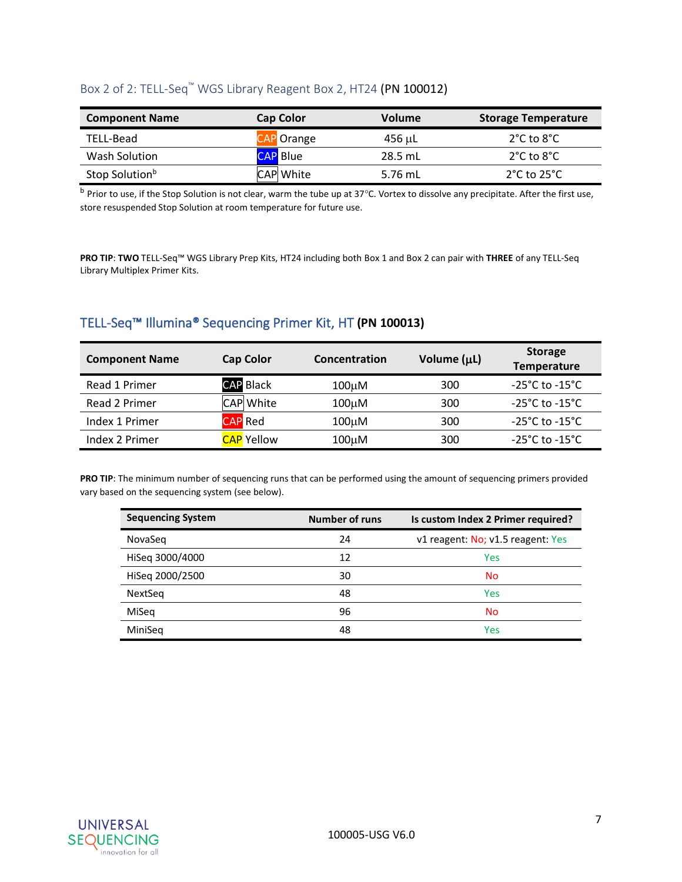## <span id="page-7-0"></span>Box 2 of 2: TELL-Seq™ WGS Library Reagent Box 2, HT24 (PN 100012)

| <b>Component Name</b>      | <b>Cap Color</b> | <b>Volume</b> | <b>Storage Temperature</b>       |
|----------------------------|------------------|---------------|----------------------------------|
| TELL-Bead                  | CAP Orange       | 456 սԼ        | $2^{\circ}$ C to $8^{\circ}$ C   |
| Wash Solution              | <b>CAP</b> Blue  | 28.5 mL       | $2^{\circ}$ C to $8^{\circ}$ C   |
| Stop Solution <sup>b</sup> | <b>CAP</b> White | 5.76 mL       | $2^{\circ}$ C to 25 $^{\circ}$ C |

<sup>b</sup> Prior to use, if the Stop Solution is not clear, warm the tube up at 37°C. Vortex to dissolve any precipitate. After the first use, store resuspended Stop Solution at room temperature for future use.

**PRO TIP**: **TWO** TELL-Seq™ WGS Library Prep Kits, HT24 including both Box 1 and Box 2 can pair with **THREE** of any TELL-Seq Library Multiplex Primer Kits.

## <span id="page-7-1"></span>TELL-Seq™ Illumina® Sequencing Primer Kit, HT **(PN 100013)**

| <b>Component Name</b> | <b>Cap Color</b>  | Concentration      | Volume (µL) | <b>Storage</b><br>Temperature      |
|-----------------------|-------------------|--------------------|-------------|------------------------------------|
| Read 1 Primer         | <b>CAP Black</b>  | $100 \mu M$        | 300         | $-25^{\circ}$ C to $-15^{\circ}$ C |
| Read 2 Primer         | CAP White         | $100 \mu M$        | 300         | $-25^{\circ}$ C to $-15^{\circ}$ C |
| Index 1 Primer        | <b>CAP</b> Red    | 100 <sub>u</sub> M | 300         | -25°C to -15°C                     |
| Index 2 Primer        | <b>CAP</b> Yellow | 100uM              | 300         | $-25^{\circ}$ C to $-15^{\circ}$ C |

**PRO TIP**: The minimum number of sequencing runs that can be performed using the amount of sequencing primers provided vary based on the sequencing system (see below).

| <b>Sequencing System</b> | <b>Number of runs</b> | Is custom Index 2 Primer required? |
|--------------------------|-----------------------|------------------------------------|
| NovaSeg                  | 24                    | v1 reagent: No; v1.5 reagent: Yes  |
| HiSeq 3000/4000          | 12                    | Yes                                |
| HiSeq 2000/2500          | 30                    | <b>No</b>                          |
| <b>NextSeg</b>           | 48                    | <b>Yes</b>                         |
| MiSeg                    | 96                    | No                                 |
| MiniSeg                  | 48                    | Yes                                |

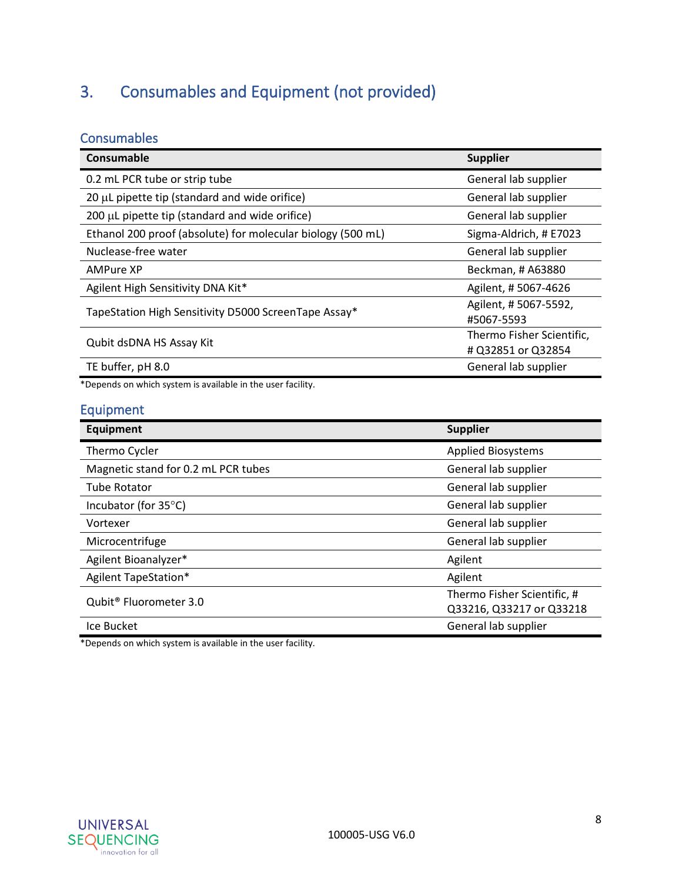## <span id="page-8-0"></span>3. Consumables and Equipment (not provided)

## <span id="page-8-1"></span>**Consumables**

| Consumable                                                  | <b>Supplier</b>                                 |
|-------------------------------------------------------------|-------------------------------------------------|
| 0.2 mL PCR tube or strip tube                               | General lab supplier                            |
| 20 µL pipette tip (standard and wide orifice)               | General lab supplier                            |
| 200 µL pipette tip (standard and wide orifice)              | General lab supplier                            |
| Ethanol 200 proof (absolute) for molecular biology (500 mL) | Sigma-Aldrich, # E7023                          |
| Nuclease-free water                                         | General lab supplier                            |
| <b>AMPure XP</b>                                            | Beckman, # A63880                               |
| Agilent High Sensitivity DNA Kit*                           | Agilent, #5067-4626                             |
| TapeStation High Sensitivity D5000 ScreenTape Assay*        | Agilent, #5067-5592,<br>#5067-5593              |
| Qubit dsDNA HS Assay Kit                                    | Thermo Fisher Scientific,<br># Q32851 or Q32854 |
| TE buffer, pH 8.0                                           | General lab supplier                            |

\*Depends on which system is available in the user facility.

## <span id="page-8-2"></span>Equipment

| <b>Equipment</b>                    | <b>Supplier</b>             |
|-------------------------------------|-----------------------------|
| Thermo Cycler                       | <b>Applied Biosystems</b>   |
| Magnetic stand for 0.2 mL PCR tubes | General lab supplier        |
| <b>Tube Rotator</b>                 | General lab supplier        |
| Incubator (for $35^{\circ}$ C)      | General lab supplier        |
| Vortexer                            | General lab supplier        |
| Microcentrifuge                     | General lab supplier        |
| Agilent Bioanalyzer*                | Agilent                     |
| Agilent TapeStation*                | Agilent                     |
| Qubit <sup>®</sup> Fluorometer 3.0  | Thermo Fisher Scientific, # |
|                                     | Q33216, Q33217 or Q33218    |
| Ice Bucket                          | General lab supplier        |

\*Depends on which system is available in the user facility.

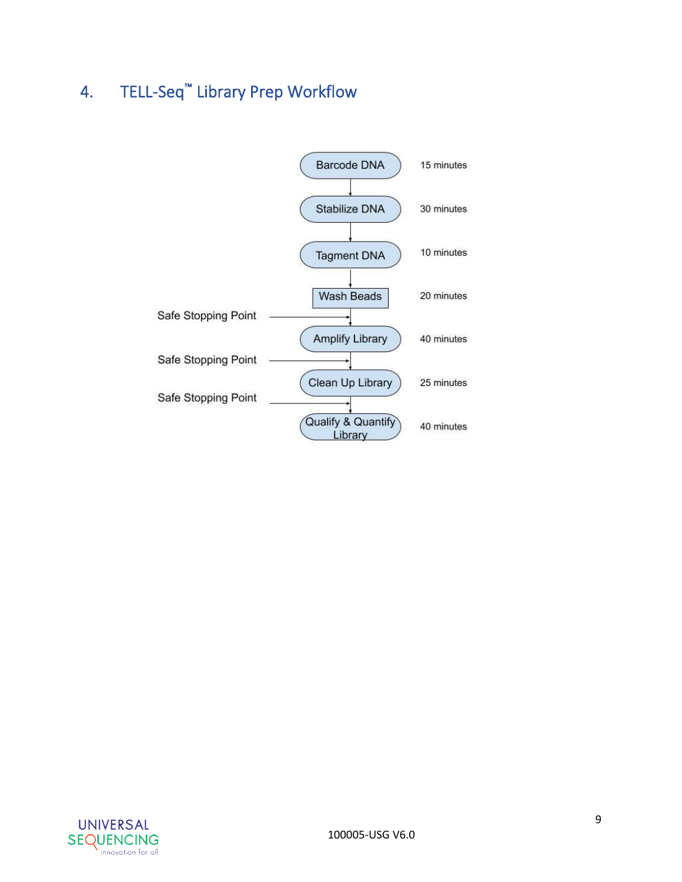## <span id="page-9-0"></span>4. TELL-Seq™ Library Prep Workflow



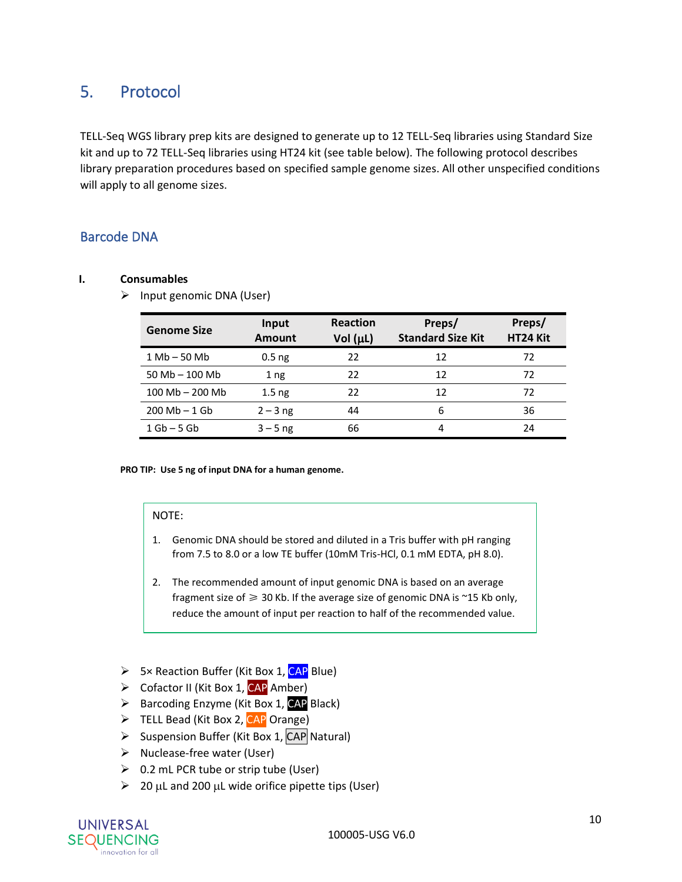## <span id="page-10-0"></span>5. Protocol

TELL-Seq WGS library prep kits are designed to generate up to 12 TELL-Seq libraries using Standard Size kit and up to 72 TELL-Seq libraries using HT24 kit (see table below). The following protocol describes library preparation procedures based on specified sample genome sizes. All other unspecified conditions will apply to all genome sizes.

## <span id="page-10-1"></span>Barcode DNA

#### **I. Consumables**

#### ➢ Input genomic DNA (User)

| <b>Genome Size</b>           | Input<br><b>Amount</b> | <b>Reaction</b><br>Vol $(\mu L)$ | Preps/<br><b>Standard Size Kit</b> | Preps/<br>HT24 Kit |
|------------------------------|------------------------|----------------------------------|------------------------------------|--------------------|
| $1 \text{Mb} - 50 \text{Mb}$ | $0.5$ ng               | 22                               | 12                                 | 72                 |
| $50 Mb - 100 Mb$             | 1 <sub>ng</sub>        | 22                               | 12                                 | 72                 |
| $100$ Mb $- 200$ Mb          | 1.5 <sub>ng</sub>      | 22                               | 12                                 | 72                 |
| $200 Mb - 1 Gb$              | $2 - 3$ ng             | 44                               | 6                                  | 36                 |
| $1$ Gb $-$ 5 Gb              | $3 - 5$ ng             | 66                               | 4                                  | 24                 |

#### **PRO TIP: Use 5 ng of input DNA for a human genome.**

#### NOTE:

- 1. Genomic DNA should be stored and diluted in a Tris buffer with pH ranging from 7.5 to 8.0 or a low TE buffer (10mM Tris-HCl, 0.1 mM EDTA, pH 8.0).
- 2. The recommended amount of input genomic DNA is based on an average fragment size of  $\geq 30$  Kb. If the average size of genomic DNA is ~15 Kb only, reduce the amount of input per reaction to half of the recommended value.
- **►** 5× Reaction Buffer (Kit Box 1, CAP Blue)
- ➢ Cofactor II (Kit Box 1, CAP Amber)
- ➢ Barcoding Enzyme (Kit Box 1, CAP Black)
- ➢ TELL Bead (Kit Box 2, CAP Orange)
- $\triangleright$  Suspension Buffer (Kit Box 1, CAP Natural)
- ➢ Nuclease-free water (User)
- $\geqslant$  0.2 mL PCR tube or strip tube (User)
- $\geq$  20 µL and 200 µL wide orifice pipette tips (User)

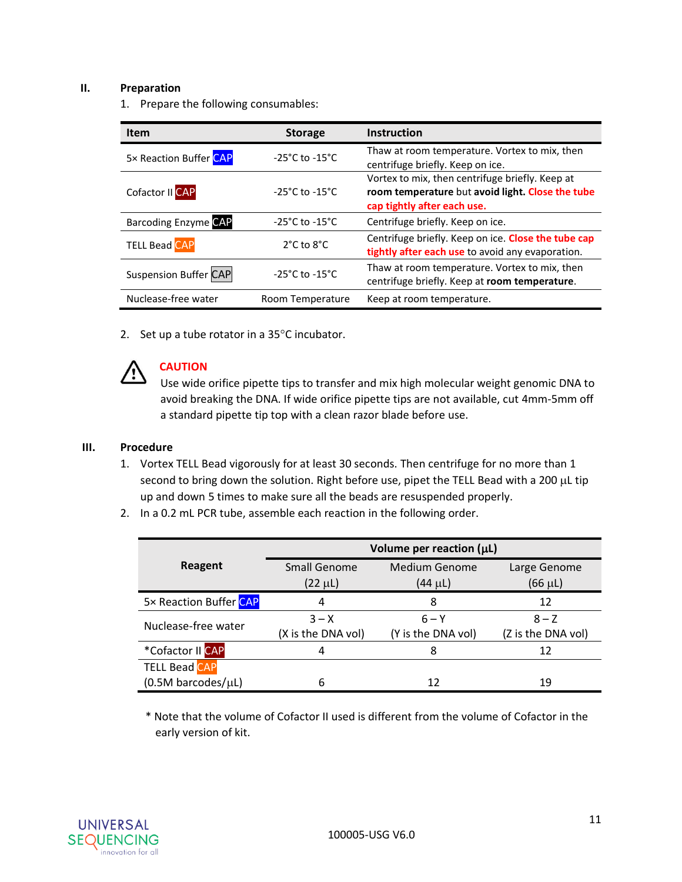#### **II. Preparation**

1. Prepare the following consumables:

| <b>Item</b>                  | <b>Storage</b>                     | <b>Instruction</b>                                                                                                                 |
|------------------------------|------------------------------------|------------------------------------------------------------------------------------------------------------------------------------|
| 5× Reaction Buffer CAP       | $-25^{\circ}$ C to $-15^{\circ}$ C | Thaw at room temperature. Vortex to mix, then<br>centrifuge briefly. Keep on ice.                                                  |
| Cofactor II CAP              | $-25^{\circ}$ C to $-15^{\circ}$ C | Vortex to mix, then centrifuge briefly. Keep at<br>room temperature but avoid light. Close the tube<br>cap tightly after each use. |
| <b>Barcoding Enzyme CAP</b>  | $-25^{\circ}$ C to $-15^{\circ}$ C | Centrifuge briefly. Keep on ice.                                                                                                   |
| <b>TELL Bead CAP</b>         | $2^{\circ}$ C to $8^{\circ}$ C     | Centrifuge briefly. Keep on ice. Close the tube cap<br>tightly after each use to avoid any evaporation.                            |
| <b>Suspension Buffer CAP</b> | $-25^{\circ}$ C to $-15^{\circ}$ C | Thaw at room temperature. Vortex to mix, then<br>centrifuge briefly. Keep at room temperature.                                     |
| Nuclease-free water          | Room Temperature                   | Keep at room temperature.                                                                                                          |

2. Set up a tube rotator in a  $35^{\circ}$ C incubator.



### **CAUTION**

Use wide orifice pipette tips to transfer and mix high molecular weight genomic DNA to avoid breaking the DNA. If wide orifice pipette tips are not available, cut 4mm-5mm off a standard pipette tip top with a clean razor blade before use.

#### **III. Procedure**

- 1. Vortex TELL Bead vigorously for at least 30 seconds. Then centrifuge for no more than 1 second to bring down the solution. Right before use, pipet the TELL Bead with a 200 µL tip up and down 5 times to make sure all the beads are resuspended properly.
- 2. In a 0.2 mL PCR tube, assemble each reaction in the following order.

| Volume per reaction $(\mu L)$ |                    |                    |                    |
|-------------------------------|--------------------|--------------------|--------------------|
| Reagent                       | Small Genome       | Medium Genome      | Large Genome       |
|                               | $(22 \mu L)$       | (44 µL)            | $(66 \mu L)$       |
| 5x Reaction Buffer CAP        | 4                  | 8                  | 12                 |
| Nuclease-free water           | $3 - X$            | $6 - Y$            | $8 - Z$            |
|                               | (X is the DNA vol) | (Y is the DNA vol) | (Z is the DNA vol) |
| *Cofactor II CAP              | 4                  | 8                  | 12                 |
| <b>TELL Bead CAP</b>          |                    |                    |                    |
| $(0.5M$ barcodes/ $\mu$ L)    | 6                  | 12                 | 19                 |

\* Note that the volume of Cofactor II used is different from the volume of Cofactor in the early version of kit.

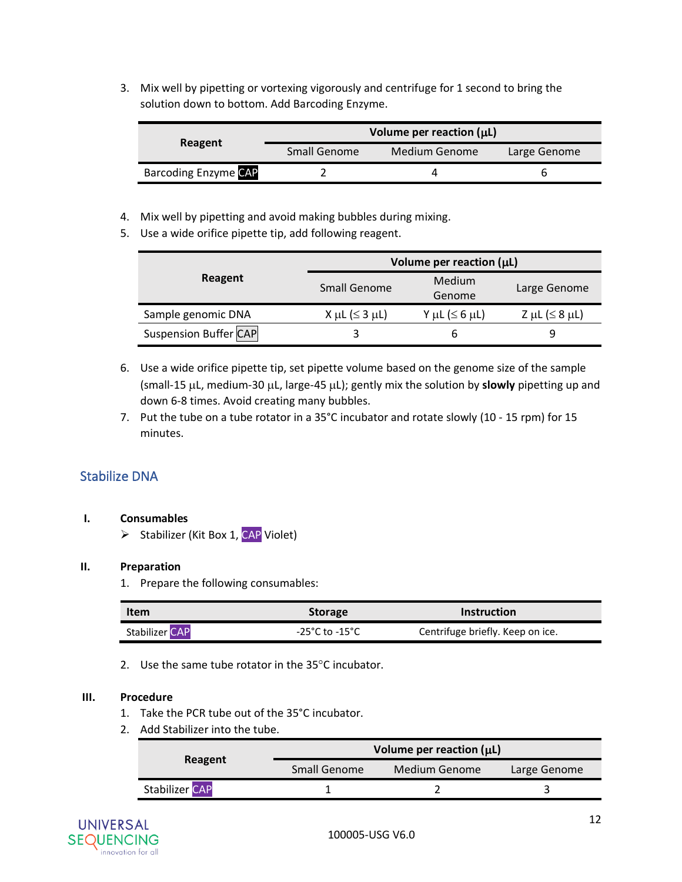3. Mix well by pipetting or vortexing vigorously and centrifuge for 1 second to bring the solution down to bottom. Add Barcoding Enzyme.

|                             | Volume per reaction $(\mu L)$        |  |              |
|-----------------------------|--------------------------------------|--|--------------|
| Reagent                     | <b>Small Genome</b><br>Medium Genome |  | Large Genome |
| <b>Barcoding Enzyme CAP</b> |                                      |  |              |

- 4. Mix well by pipetting and avoid making bubbles during mixing.
- 5. Use a wide orifice pipette tip, add following reagent.

|                              | Volume per reaction $(\mu L)$ |                     |                          |
|------------------------------|-------------------------------|---------------------|--------------------------|
| Reagent                      | <b>Small Genome</b>           | Medium<br>Genome    | Large Genome             |
| Sample genomic DNA           | X µL ( $\leq$ 3 µL)           | Y µL ( $\leq 6$ µL) | $Z \mu L (\leq 8 \mu L)$ |
| <b>Suspension Buffer CAP</b> |                               |                     | 9                        |

- 6. Use a wide orifice pipette tip, set pipette volume based on the genome size of the sample (small-15 µL, medium-30 µL, large-45 µL); gently mix the solution by **slowly** pipetting up and down 6-8 times. Avoid creating many bubbles.
- 7. Put the tube on a tube rotator in a 35°C incubator and rotate slowly (10 15 rpm) for 15 minutes.

### <span id="page-12-0"></span>Stabilize DNA

#### **I. Consumables**

 $\triangleright$  Stabilizer (Kit Box 1, CAP Violet)

#### **II. Preparation**

1. Prepare the following consumables:

| Item                  | <b>Storage</b>                     | Instruction                      |  |
|-----------------------|------------------------------------|----------------------------------|--|
| <b>Stabilizer CAP</b> | $-25^{\circ}$ C to $-15^{\circ}$ C | Centrifuge briefly. Keep on ice. |  |

2. Use the same tube rotator in the  $35^{\circ}$ C incubator.

#### **III. Procedure**

- 1. Take the PCR tube out of the 35°C incubator.
- 2. Add Stabilizer into the tube.

|                |                                          | Volume per reaction $(\mu L)$ |              |
|----------------|------------------------------------------|-------------------------------|--------------|
|                | Reagent<br>Medium Genome<br>Small Genome |                               | Large Genome |
| Stabilizer CAP |                                          |                               |              |

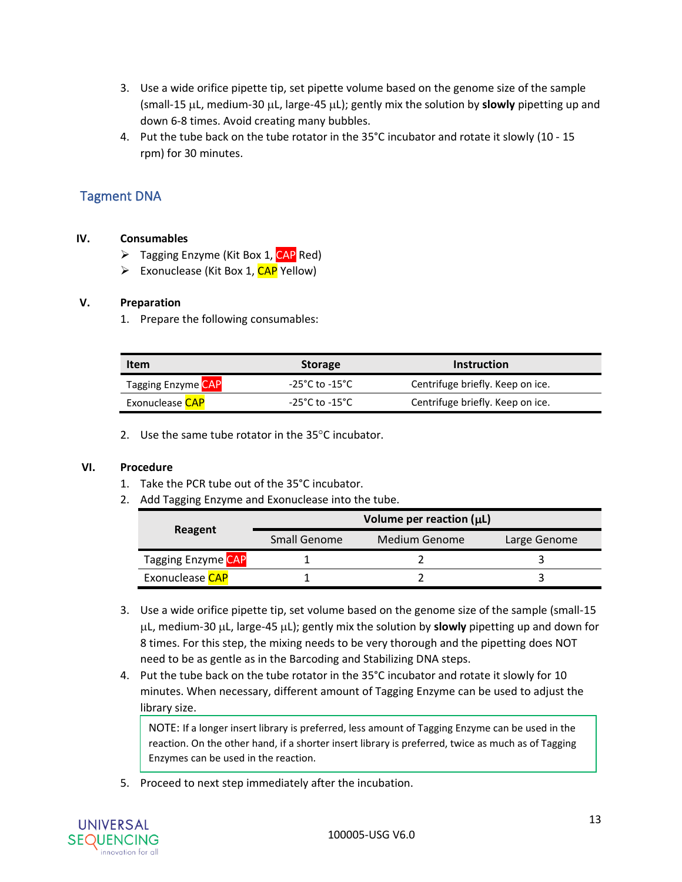- 3. Use a wide orifice pipette tip, set pipette volume based on the genome size of the sample (small-15  $\mu$ L, medium-30  $\mu$ L, large-45  $\mu$ L); gently mix the solution by **slowly** pipetting up and down 6-8 times. Avoid creating many bubbles.
- 4. Put the tube back on the tube rotator in the 35°C incubator and rotate it slowly (10 15 rpm) for 30 minutes.

## <span id="page-13-0"></span>Tagment DNA

#### **IV. Consumables**

- $\triangleright$  Tagging Enzyme (Kit Box 1, CAP Red)
- $\triangleright$  Exonuclease (Kit Box 1, CAP Yellow)

#### **V. Preparation**

1. Prepare the following consumables:

| Item                   | <b>Storage</b> | <b>Instruction</b>               |
|------------------------|----------------|----------------------------------|
| Tagging Enzyme CAP     | -25°C to -15°C | Centrifuge briefly. Keep on ice. |
| Exonuclease <b>CAP</b> | -25°C to -15°C | Centrifuge briefly. Keep on ice. |

2. Use the same tube rotator in the  $35^{\circ}$ C incubator.

#### **VI. Procedure**

- 1. Take the PCR tube out of the 35°C incubator.
- 2. Add Tagging Enzyme and Exonuclease into the tube.

|                           | Volume per reaction $(\mu L)$ |               |              |  |
|---------------------------|-------------------------------|---------------|--------------|--|
| Reagent                   | <b>Small Genome</b>           | Medium Genome | Large Genome |  |
| <b>Tagging Enzyme CAP</b> |                               |               |              |  |
| Exonuclease CAP           |                               |               |              |  |

- 3. Use a wide orifice pipette tip, set volume based on the genome size of the sample (small-15  $\mu$ L, medium-30  $\mu$ L, large-45  $\mu$ L); gently mix the solution by **slowly** pipetting up and down for 8 times. For this step, the mixing needs to be very thorough and the pipetting does NOT need to be as gentle as in the Barcoding and Stabilizing DNA steps.
- 4. Put the tube back on the tube rotator in the 35°C incubator and rotate it slowly for 10 minutes. When necessary, different amount of Tagging Enzyme can be used to adjust the library size.

NOTE: If a longer insert library is preferred, less amount of Tagging Enzyme can be used in the reaction. On the other hand, if a shorter insert library is preferred, twice as much as of Tagging Enzymes can be used in the reaction.

5. Proceed to next step immediately after the incubation.

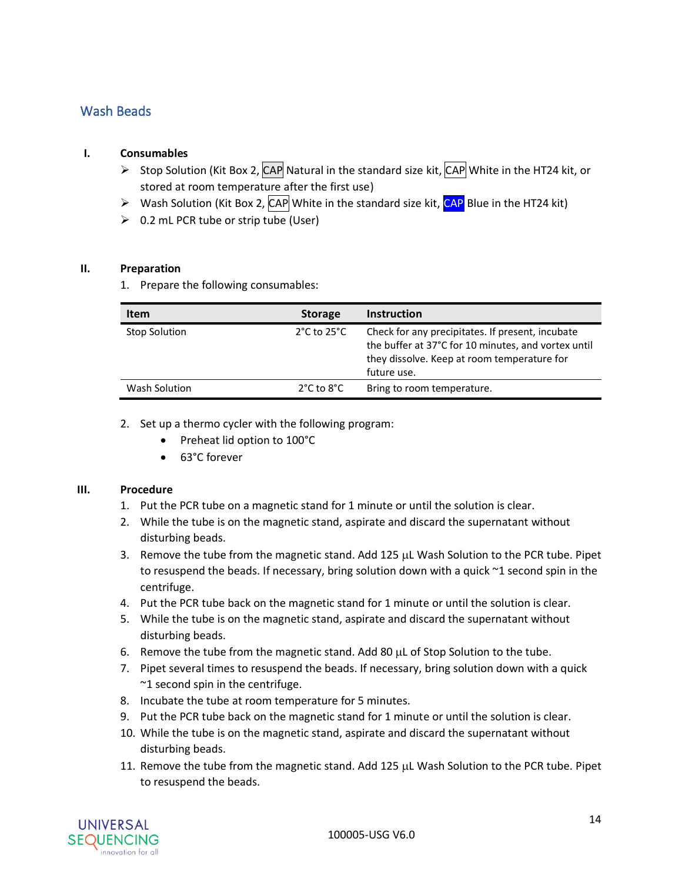### <span id="page-14-0"></span>Wash Beads

#### **I. Consumables**

- $\triangleright$  Stop Solution (Kit Box 2, CAP Natural in the standard size kit, CAP White in the HT24 kit, or stored at room temperature after the first use)
- $\triangleright$  Wash Solution (Kit Box 2, CAP White in the standard size kit, CAP Blue in the HT24 kit)
- $\geqslant$  0.2 mL PCR tube or strip tube (User)

#### **II. Preparation**

1. Prepare the following consumables:

| <b>Item</b>          | <b>Storage</b>                  | <b>Instruction</b>                                                                                                                                                    |
|----------------------|---------------------------------|-----------------------------------------------------------------------------------------------------------------------------------------------------------------------|
| <b>Stop Solution</b> | $2^{\circ}$ C to $25^{\circ}$ C | Check for any precipitates. If present, incubate<br>the buffer at 37°C for 10 minutes, and vortex until<br>they dissolve. Keep at room temperature for<br>future use. |
| Wash Solution        | $2^{\circ}$ C to $8^{\circ}$ C  | Bring to room temperature.                                                                                                                                            |

#### 2. Set up a thermo cycler with the following program:

- Preheat lid option to 100°C
- 63°C forever

#### **III. Procedure**

- 1. Put the PCR tube on a magnetic stand for 1 minute or until the solution is clear.
- 2. While the tube is on the magnetic stand, aspirate and discard the supernatant without disturbing beads.
- 3. Remove the tube from the magnetic stand. Add  $125 \mu L$  Wash Solution to the PCR tube. Pipet to resuspend the beads. If necessary, bring solution down with a quick ~1 second spin in the centrifuge.
- 4. Put the PCR tube back on the magnetic stand for 1 minute or until the solution is clear.
- 5. While the tube is on the magnetic stand, aspirate and discard the supernatant without disturbing beads.
- 6. Remove the tube from the magnetic stand. Add 80  $\mu$ L of Stop Solution to the tube.
- 7. Pipet several times to resuspend the beads. If necessary, bring solution down with a quick ~1 second spin in the centrifuge.
- 8. Incubate the tube at room temperature for 5 minutes.
- 9. Put the PCR tube back on the magnetic stand for 1 minute or until the solution is clear.
- 10. While the tube is on the magnetic stand, aspirate and discard the supernatant without disturbing beads.
- 11. Remove the tube from the magnetic stand. Add 125  $\mu$ L Wash Solution to the PCR tube. Pipet to resuspend the beads.

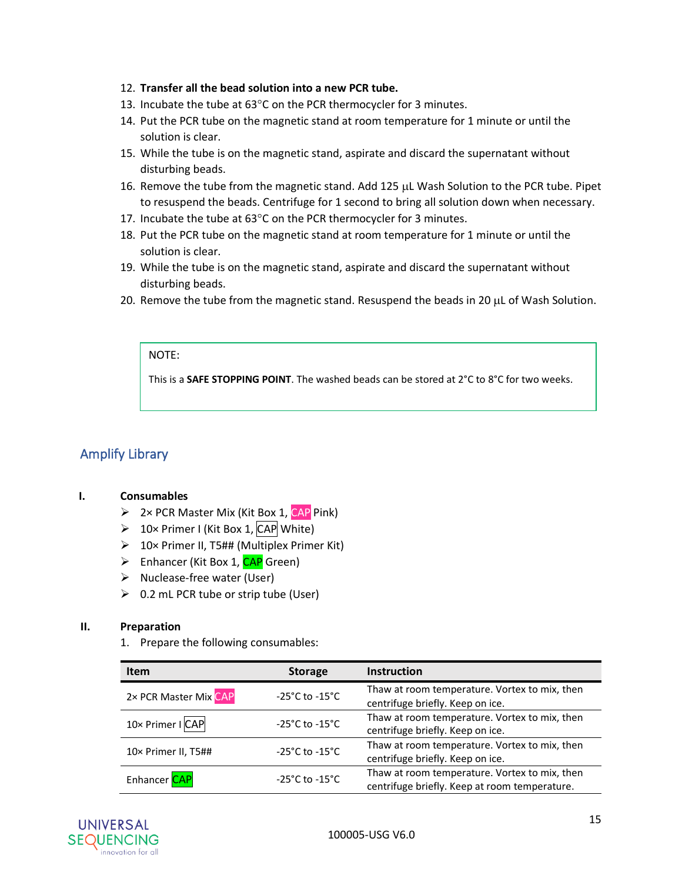#### 12. **Transfer all the bead solution into a new PCR tube.**

- 13. Incubate the tube at  $63^{\circ}$ C on the PCR thermocycler for 3 minutes.
- 14. Put the PCR tube on the magnetic stand at room temperature for 1 minute or until the solution is clear.
- 15. While the tube is on the magnetic stand, aspirate and discard the supernatant without disturbing beads.
- 16. Remove the tube from the magnetic stand. Add 125  $\mu$ L Wash Solution to the PCR tube. Pipet to resuspend the beads. Centrifuge for 1 second to bring all solution down when necessary.
- 17. Incubate the tube at  $63^{\circ}$ C on the PCR thermocycler for 3 minutes.
- 18. Put the PCR tube on the magnetic stand at room temperature for 1 minute or until the solution is clear.
- 19. While the tube is on the magnetic stand, aspirate and discard the supernatant without disturbing beads.
- 20. Remove the tube from the magnetic stand. Resuspend the beads in 20  $\mu$ L of Wash Solution.

#### NOTE:

This is a **SAFE STOPPING POINT**. The washed beads can be stored at 2°C to 8°C for two weeks.

### <span id="page-15-0"></span>Amplify Library

#### **I. Consumables**

- $\triangleright$  2× PCR Master Mix (Kit Box 1, CAP Pink)
- $\geq 10 \times$  Primer I (Kit Box 1, CAP White)
- ➢ 10× Primer II, T5## (Multiplex Primer Kit)
- ➢ Enhancer (Kit Box 1, CAP Green)
- ➢ Nuclease-free water (User)
- $\geqslant$  0.2 mL PCR tube or strip tube (User)

#### **II. Preparation**

1. Prepare the following consumables:

| <b>Item</b>           | <b>Storage</b>                     | <b>Instruction</b>                                                                             |
|-----------------------|------------------------------------|------------------------------------------------------------------------------------------------|
| 2× PCR Master Mix CAP | $-25^{\circ}$ C to $-15^{\circ}$ C | Thaw at room temperature. Vortex to mix, then<br>centrifuge briefly. Keep on ice.              |
| 10× Primer I CAP      | $-25^{\circ}$ C to $-15^{\circ}$ C | Thaw at room temperature. Vortex to mix, then<br>centrifuge briefly. Keep on ice.              |
| 10× Primer II, T5##   | $-25^{\circ}$ C to $-15^{\circ}$ C | Thaw at room temperature. Vortex to mix, then<br>centrifuge briefly. Keep on ice.              |
| Enhancer CAP          | $-25^{\circ}$ C to $-15^{\circ}$ C | Thaw at room temperature. Vortex to mix, then<br>centrifuge briefly. Keep at room temperature. |

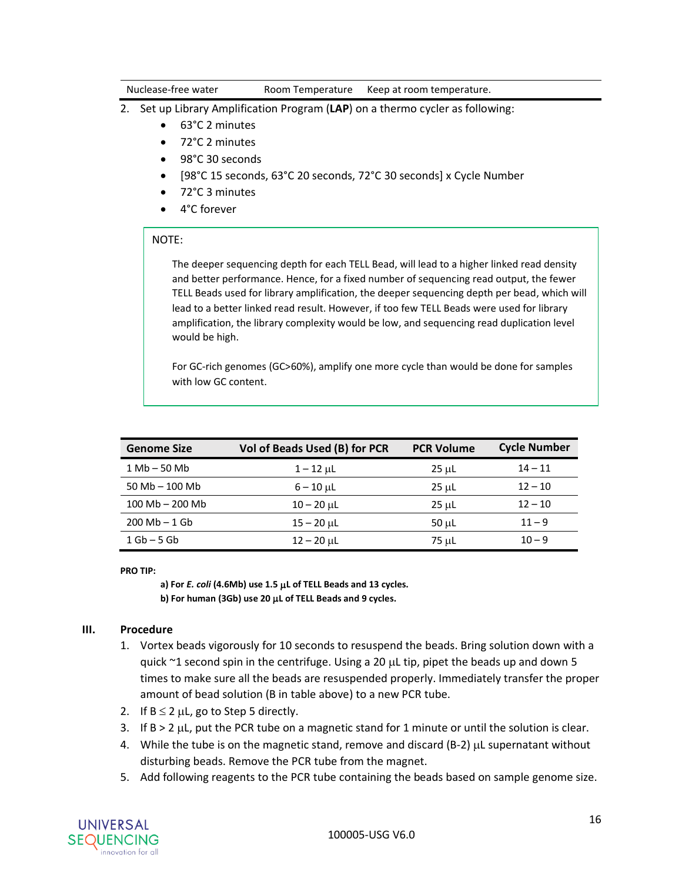Nuclease-free water **Room Temperature** Keep at room temperature.

- 2. Set up Library Amplification Program (**LAP**) on a thermo cycler as following:
	- 63°C 2 minutes
	- 72°C 2 minutes
	- 98°C 30 seconds
	- [98°C 15 seconds, 63°C 20 seconds, 72°C 30 seconds] x Cycle Number
	- 72°C 3 minutes
	- 4°C forever

#### NOTE:

The deeper sequencing depth for each TELL Bead, will lead to a higher linked read density and better performance. Hence, for a fixed number of sequencing read output, the fewer TELL Beads used for library amplification, the deeper sequencing depth per bead, which will lead to a better linked read result. However, if too few TELL Beads were used for library amplification, the library complexity would be low, and sequencing read duplication level would be high.

For GC-rich genomes (GC>60%), amplify one more cycle than would be done for samples with low GC content.

| <b>Genome Size</b>           | Vol of Beads Used (B) for PCR | <b>PCR Volume</b> | <b>Cycle Number</b> |
|------------------------------|-------------------------------|-------------------|---------------------|
| $1 \text{Mb} - 50 \text{Mb}$ | $1 - 12 \mu L$                | 25 µL             | $14 - 11$           |
| $50 Mb - 100 Mb$             | $6 - 10 \mu L$                | 25 µL             | $12 - 10$           |
| $100$ Mb $- 200$ Mb          | $10 - 20$ µL                  | 25 µL             | $12 - 10$           |
| $200 Mb - 1 Gb$              | $15 - 20$ µL                  | 50 µL             | $11 - 9$            |
| $1$ Gb $-$ 5 Gb              | $12 - 20$ µL                  | 75 µL             | $10 - 9$            |

**PRO TIP:** 

**a) For** *E. coli* **(4.6Mb) use 1.5 L of TELL Beads and 13 cycles. b) For human (3Gb) use 20 L of TELL Beads and 9 cycles.**

#### **III. Procedure**

- 1. Vortex beads vigorously for 10 seconds to resuspend the beads. Bring solution down with a quick  $\sim$ 1 second spin in the centrifuge. Using a 20  $\mu$ L tip, pipet the beads up and down 5 times to make sure all the beads are resuspended properly. Immediately transfer the proper amount of bead solution (B in table above) to a new PCR tube.
- 2. If  $B \le 2 \mu L$ , go to Step 5 directly.
- 3. If  $B > 2$   $\mu$ , put the PCR tube on a magnetic stand for 1 minute or until the solution is clear.
- 4. While the tube is on the magnetic stand, remove and discard (B-2)  $\mu$ L supernatant without disturbing beads. Remove the PCR tube from the magnet.
- 5. Add following reagents to the PCR tube containing the beads based on sample genome size.

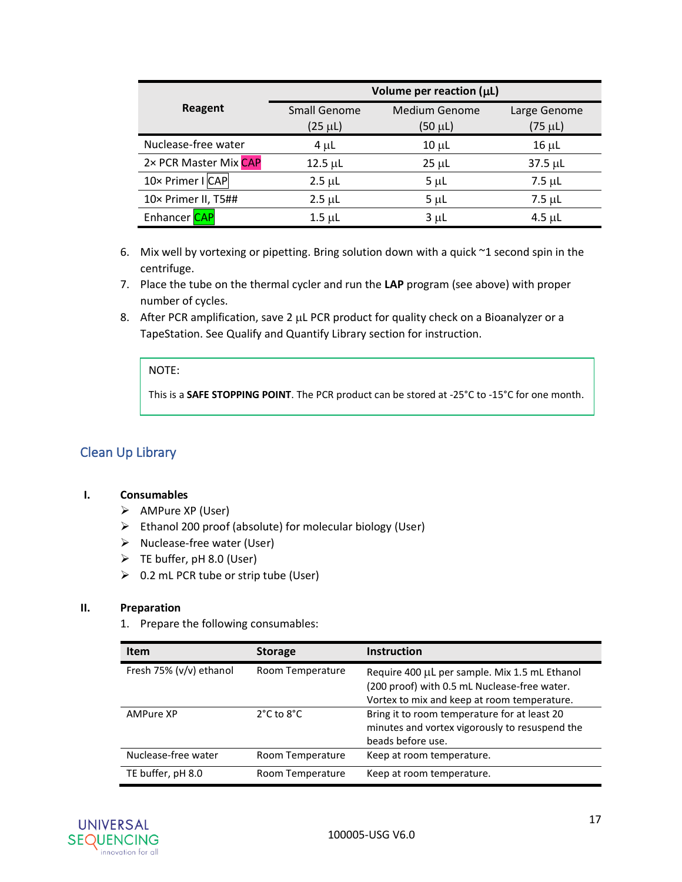|                       |                              | Volume per reaction $(\mu L)$   |                              |
|-----------------------|------------------------------|---------------------------------|------------------------------|
| Reagent               | Small Genome<br>$(25 \mu L)$ | <b>Medium Genome</b><br>(50 µL) | Large Genome<br>$(75 \mu L)$ |
| Nuclease-free water   | $4 \mu L$                    | $10 \mu L$                      | $16 \mu L$                   |
| 2× PCR Master Mix CAP | $12.5 \mu L$                 | $25 \mu L$                      | $37.5 \mu L$                 |
| 10x Primer I CAP      | $2.5 \mu L$                  | $5 \mu L$                       | $7.5 \mu L$                  |
| 10× Primer II, T5##   | $2.5 \mu L$                  | $5 \mu L$                       | $7.5 \mu L$                  |
| Enhancer CAP          | $1.5 \mu L$                  | $3 \mu L$                       | $4.5$ µL                     |

- 6. Mix well by vortexing or pipetting. Bring solution down with a quick  $\sim$ 1 second spin in the centrifuge.
- 7. Place the tube on the thermal cycler and run the **LAP** program (see above) with proper number of cycles.
- 8. After PCR amplification, save 2  $\mu$ L PCR product for quality check on a Bioanalyzer or a TapeStation. See Qualify and Quantify Library section for instruction.

#### NOTE:

This is a **SAFE STOPPING POINT**. The PCR product can be stored at -25°C to -15°C for one month.

### <span id="page-17-0"></span>Clean Up Library

#### **I. Consumables**

- ➢ AMPure XP (User)
- ➢ Ethanol 200 proof (absolute) for molecular biology (User)
- ➢ Nuclease-free water (User)
- ➢ TE buffer, pH 8.0 (User)
- $\geqslant$  0.2 mL PCR tube or strip tube (User)

#### **II. Preparation**

1. Prepare the following consumables:

| <b>Item</b>             | <b>Storage</b>                 | <b>Instruction</b>                                                                                                                           |
|-------------------------|--------------------------------|----------------------------------------------------------------------------------------------------------------------------------------------|
| Fresh 75% (v/v) ethanol | Room Temperature               | Require 400 µL per sample. Mix 1.5 mL Ethanol<br>(200 proof) with 0.5 mL Nuclease-free water.<br>Vortex to mix and keep at room temperature. |
| AMPure XP               | $2^{\circ}$ C to $8^{\circ}$ C | Bring it to room temperature for at least 20<br>minutes and vortex vigorously to resuspend the<br>beads before use.                          |
| Nuclease-free water     | Room Temperature               | Keep at room temperature.                                                                                                                    |
| TE buffer, pH 8.0       | Room Temperature               | Keep at room temperature.                                                                                                                    |

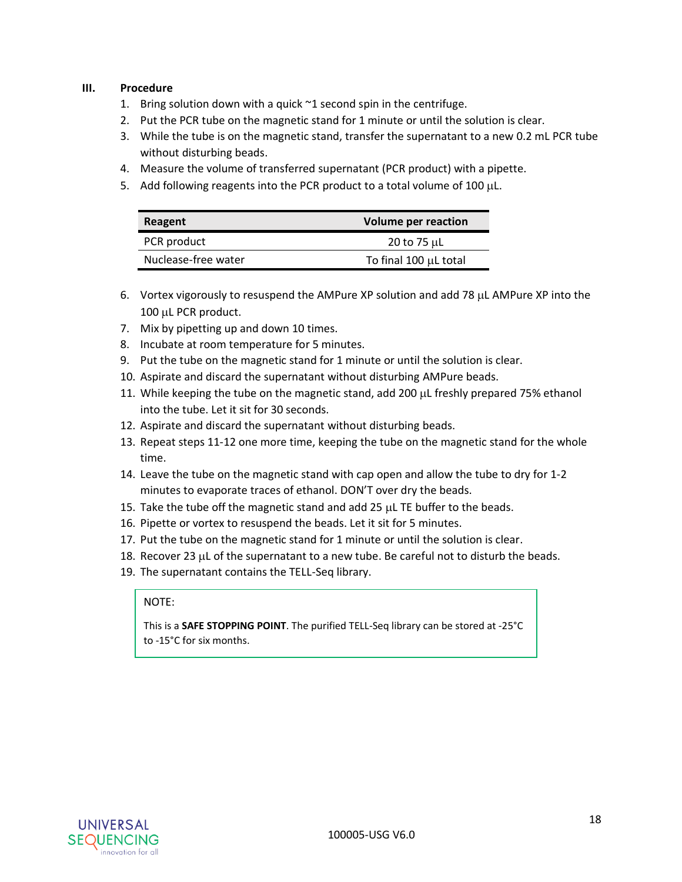#### **III. Procedure**

- 1. Bring solution down with a quick  $\sim$ 1 second spin in the centrifuge.
- 2. Put the PCR tube on the magnetic stand for 1 minute or until the solution is clear.
- 3. While the tube is on the magnetic stand, transfer the supernatant to a new 0.2 mL PCR tube without disturbing beads.
- 4. Measure the volume of transferred supernatant (PCR product) with a pipette.
- 5. Add following reagents into the PCR product to a total volume of 100  $\mu$ L.

| Reagent             | <b>Volume per reaction</b> |
|---------------------|----------------------------|
| PCR product         | 20 to 75 µL                |
| Nuclease-free water | To final 100 µL total      |

- 6. Vortex vigorously to resuspend the AMPure XP solution and add 78  $\mu$ L AMPure XP into the 100 µL PCR product.
- 7. Mix by pipetting up and down 10 times.
- 8. Incubate at room temperature for 5 minutes.
- 9. Put the tube on the magnetic stand for 1 minute or until the solution is clear.
- 10. Aspirate and discard the supernatant without disturbing AMPure beads.
- 11. While keeping the tube on the magnetic stand, add 200  $\mu$ L freshly prepared 75% ethanol into the tube. Let it sit for 30 seconds.
- 12. Aspirate and discard the supernatant without disturbing beads.
- 13. Repeat steps 11-12 one more time, keeping the tube on the magnetic stand for the whole time.
- 14. Leave the tube on the magnetic stand with cap open and allow the tube to dry for 1-2 minutes to evaporate traces of ethanol. DON'T over dry the beads.
- 15. Take the tube off the magnetic stand and add 25  $\mu$ L TE buffer to the beads.
- 16. Pipette or vortex to resuspend the beads. Let it sit for 5 minutes.
- 17. Put the tube on the magnetic stand for 1 minute or until the solution is clear.
- 18. Recover 23  $\mu$ L of the supernatant to a new tube. Be careful not to disturb the beads.
- 19. The supernatant contains the TELL-Seq library.

#### NOTE:

This is a **SAFE STOPPING POINT**. The purified TELL-Seq library can be stored at -25°C to -15°C for six months.

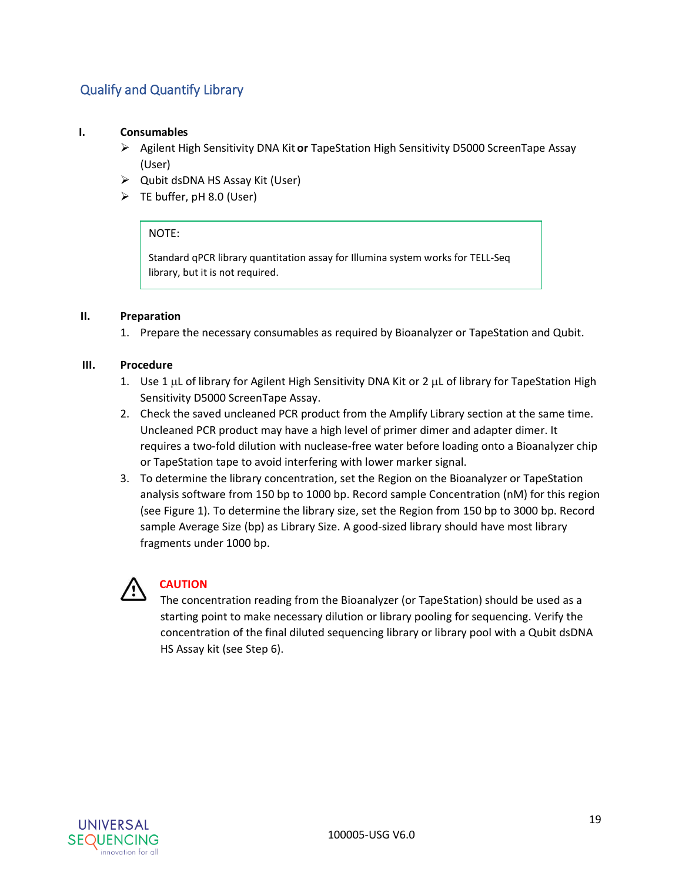## <span id="page-19-0"></span>Qualify and Quantify Library

#### **I. Consumables**

- ➢ Agilent High Sensitivity DNA Kit **or** TapeStation High Sensitivity D5000 ScreenTape Assay (User)
- ➢ Qubit dsDNA HS Assay Kit (User)
- ➢ TE buffer, pH 8.0 (User)

#### NOTE:

Standard qPCR library quantitation assay for Illumina system works for TELL-Seq library, but it is not required.

#### **II. Preparation**

1. Prepare the necessary consumables as required by Bioanalyzer or TapeStation and Qubit.

#### **III. Procedure**

- 1. Use 1  $\mu$ L of library for Agilent High Sensitivity DNA Kit or 2  $\mu$ L of library for TapeStation High Sensitivity D5000 ScreenTape Assay.
- 2. Check the saved uncleaned PCR product from the Amplify Library section at the same time. Uncleaned PCR product may have a high level of primer dimer and adapter dimer. It requires a two-fold dilution with nuclease-free water before loading onto a Bioanalyzer chip or TapeStation tape to avoid interfering with lower marker signal.
- 3. To determine the library concentration, set the Region on the Bioanalyzer or TapeStation analysis software from 150 bp to 1000 bp. Record sample Concentration (nM) for this region (see Figure 1). To determine the library size, set the Region from 150 bp to 3000 bp. Record sample Average Size (bp) as Library Size. A good-sized library should have most library fragments under 1000 bp.



## **CAUTION**

The concentration reading from the Bioanalyzer (or TapeStation) should be used as a starting point to make necessary dilution or library pooling for sequencing. Verify the concentration of the final diluted sequencing library or library pool with a Qubit dsDNA HS Assay kit (see Step 6).

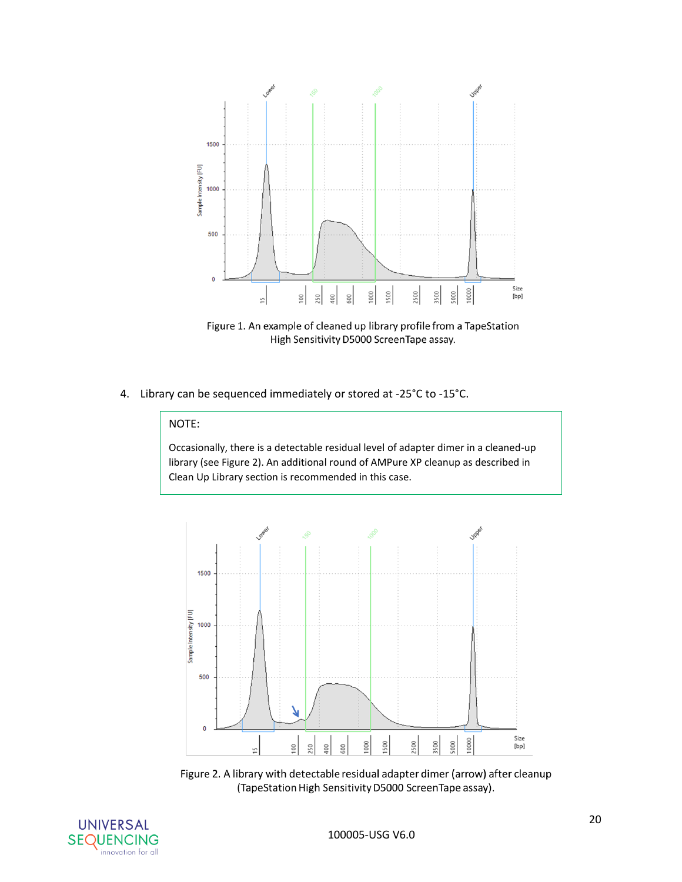

Figure 1. An example of cleaned up library profile from a TapeStation High Sensitivity D5000 ScreenTape assay.

4. Library can be sequenced immediately or stored at -25°C to -15°C.

#### NOTE:

Occasionally, there is a detectable residual level of adapter dimer in a cleaned-up library (see Figure 2). An additional round of AMPure XP cleanup as described in Clean Up Library section is recommended in this case.



Figure 2. A library with detectable residual adapter dimer (arrow) after cleanup (TapeStation High Sensitivity D5000 ScreenTape assay).

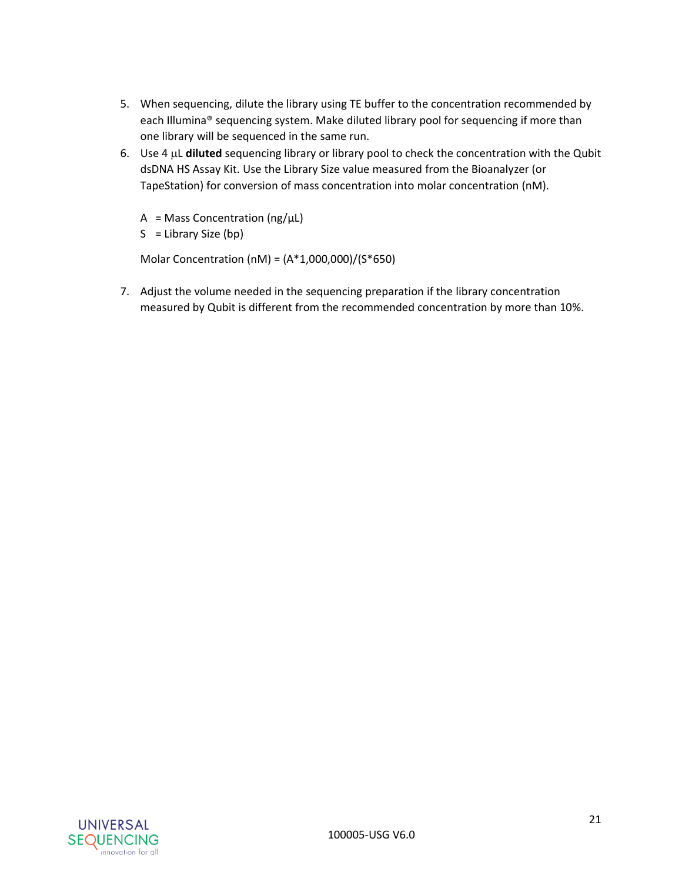- 5. When sequencing, dilute the library using TE buffer to the concentration recommended by each Illumina® sequencing system. Make diluted library pool for sequencing if more than one library will be sequenced in the same run.
- 6. Use 4  $\mu$ L **diluted** sequencing library or library pool to check the concentration with the Qubit dsDNA HS Assay Kit. Use the Library Size value measured from the Bioanalyzer (or TapeStation) for conversion of mass concentration into molar concentration (nM).
	- $A = Mass$  Concentration (ng/ $\mu L$ )
	- $S =$  Library Size (bp)

Molar Concentration (nM) = (A\*1,000,000)/(S\*650)

7. Adjust the volume needed in the sequencing preparation if the library concentration measured by Qubit is different from the recommended concentration by more than 10%.

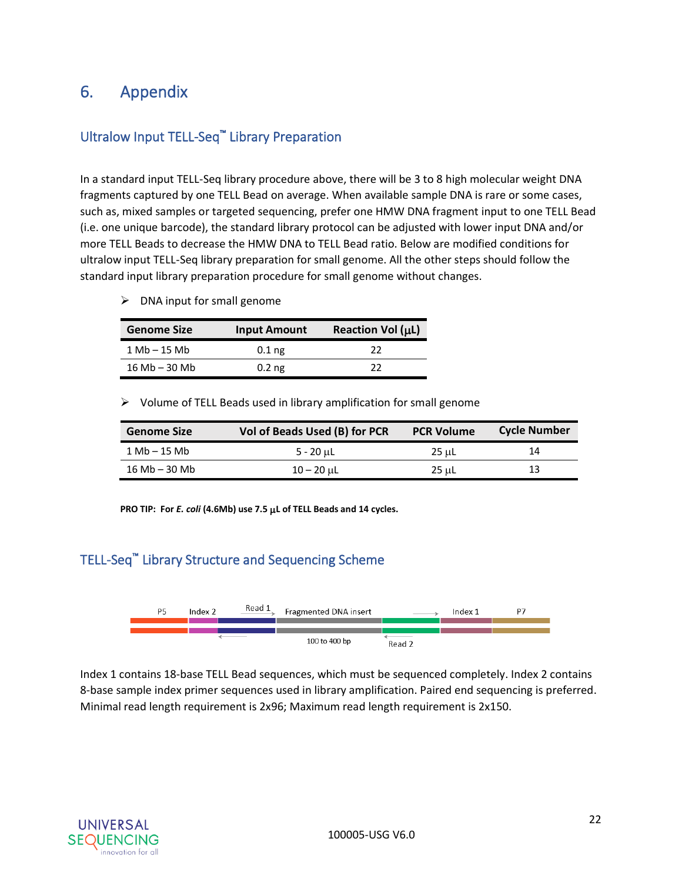## <span id="page-22-0"></span>6. Appendix

## <span id="page-22-1"></span>Ultralow Input TELL-Seq™ Library Preparation

In a standard input TELL-Seq library procedure above, there will be 3 to 8 high molecular weight DNA fragments captured by one TELL Bead on average. When available sample DNA is rare or some cases, such as, mixed samples or targeted sequencing, prefer one HMW DNA fragment input to one TELL Bead (i.e. one unique barcode), the standard library protocol can be adjusted with lower input DNA and/or more TELL Beads to decrease the HMW DNA to TELL Bead ratio. Below are modified conditions for ultralow input TELL-Seq library preparation for small genome. All the other steps should follow the standard input library preparation procedure for small genome without changes.

 $\triangleright$  DNA input for small genome

| <b>Genome Size</b>             | <b>Input Amount</b> | Reaction Vol (µL) |
|--------------------------------|---------------------|-------------------|
| $1 \text{ Mb} - 15 \text{ Mb}$ | $0.1$ ng            | 22                |
| $16 \,mb{mb} - 30 \,mb{mb}$    | $0.2$ ng            | つつ                |

➢ Volume of TELL Beads used in library amplification for small genome

| <b>Genome Size</b>              | Vol of Beads Used (B) for PCR | <b>PCR Volume</b> | <b>Cycle Number</b> |
|---------------------------------|-------------------------------|-------------------|---------------------|
| $1 \text{ Mb} - 15 \text{ Mb}$  | $5 - 20$ µL                   | 25 uL             | 14                  |
| $16 \text{ Mb} - 30 \text{ Mb}$ | $10 - 20$ uL                  | 25 uL             | 13                  |

**PRO TIP: For** *E. coli* **(4.6Mb) use 7.5 L of TELL Beads and 14 cycles.**

## <span id="page-22-2"></span>TELL-Seq™ Library Structure and Sequencing Scheme



Index 1 contains 18-base TELL Bead sequences, which must be sequenced completely. Index 2 contains 8-base sample index primer sequences used in library amplification. Paired end sequencing is preferred. Minimal read length requirement is 2x96; Maximum read length requirement is 2x150.

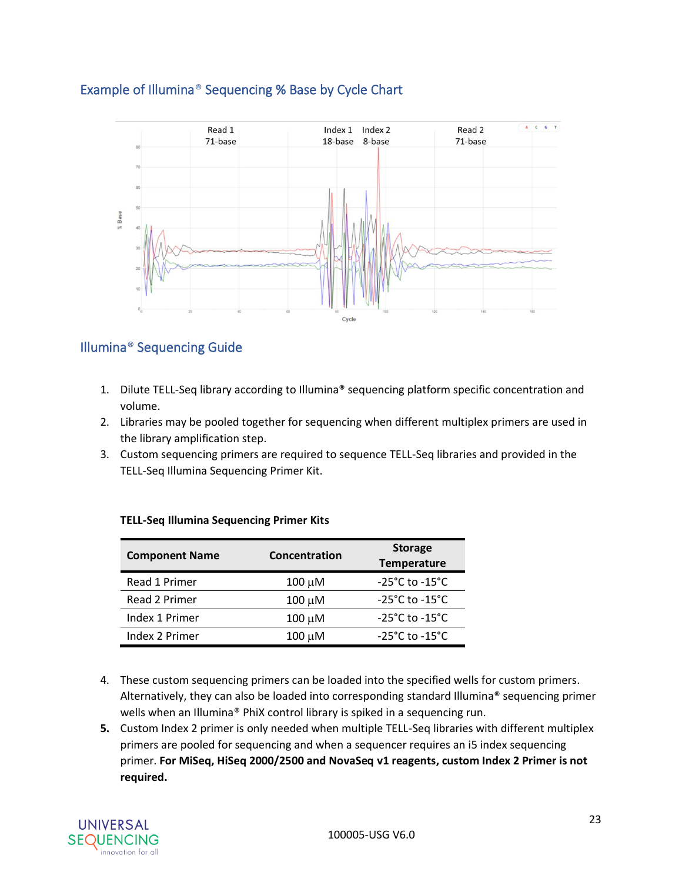

## <span id="page-23-0"></span>Example of Illumina® Sequencing % Base by Cycle Chart

## <span id="page-23-1"></span>Illumina® Sequencing Guide

- 1. Dilute TELL-Seq library according to Illumina® sequencing platform specific concentration and volume.
- 2. Libraries may be pooled together for sequencing when different multiplex primers are used in the library amplification step.
- 3. Custom sequencing primers are required to sequence TELL-Seq libraries and provided in the TELL-Seq Illumina Sequencing Primer Kit.

| <b>Component Name</b> | Concentration | <b>Storage</b><br><b>Temperature</b> |
|-----------------------|---------------|--------------------------------------|
| Read 1 Primer         | $100 \mu M$   | $-25^{\circ}$ C to $-15^{\circ}$ C   |
| Read 2 Primer         | 100 μM        | $-25^{\circ}$ C to $-15^{\circ}$ C   |
| Index 1 Primer        | $100 \mu M$   | $-25^{\circ}$ C to $-15^{\circ}$ C   |
| Index 2 Primer        | 100 μM        | $-25^{\circ}$ C to $-15^{\circ}$ C   |

#### **TELL-Seq Illumina Sequencing Primer Kits**

- 4. These custom sequencing primers can be loaded into the specified wells for custom primers. Alternatively, they can also be loaded into corresponding standard Illumina® sequencing primer wells when an Illumina® PhiX control library is spiked in a sequencing run.
- **5.** Custom Index 2 primer is only needed when multiple TELL-Seq libraries with different multiplex primers are pooled for sequencing and when a sequencer requires an i5 index sequencing primer. **For MiSeq, HiSeq 2000/2500 and NovaSeq v1 reagents, custom Index 2 Primer is not required.**

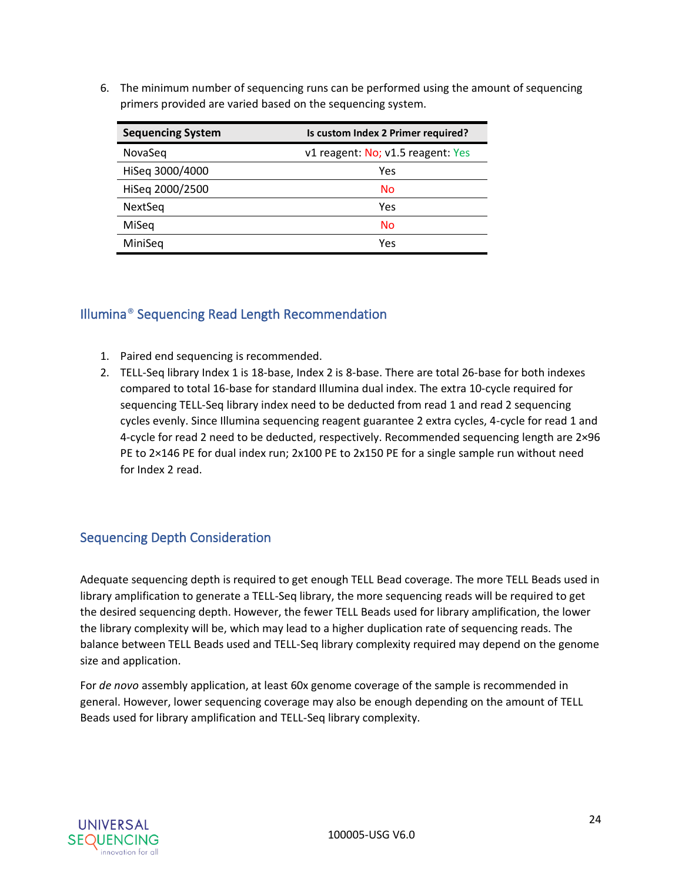6. The minimum number of sequencing runs can be performed using the amount of sequencing primers provided are varied based on the sequencing system.

| <b>Sequencing System</b> | Is custom Index 2 Primer required? |  |
|--------------------------|------------------------------------|--|
| NovaSeg                  | v1 reagent: No; v1.5 reagent: Yes  |  |
| HiSeq 3000/4000          | Yes                                |  |
| HiSeq 2000/2500          | No                                 |  |
| NextSeq                  | Yes                                |  |
| MiSeg                    | No                                 |  |
| MiniSeg                  | Yes                                |  |

## <span id="page-24-0"></span>Illumina® Sequencing Read Length Recommendation

- 1. Paired end sequencing is recommended.
- 2. TELL-Seq library Index 1 is 18-base, Index 2 is 8-base. There are total 26-base for both indexes compared to total 16-base for standard Illumina dual index. The extra 10-cycle required for sequencing TELL-Seq library index need to be deducted from read 1 and read 2 sequencing cycles evenly. Since Illumina sequencing reagent guarantee 2 extra cycles, 4-cycle for read 1 and 4-cycle for read 2 need to be deducted, respectively. Recommended sequencing length are 2×96 PE to 2×146 PE for dual index run; 2x100 PE to 2x150 PE for a single sample run without need for Index 2 read.

## <span id="page-24-1"></span>Sequencing Depth Consideration

Adequate sequencing depth is required to get enough TELL Bead coverage. The more TELL Beads used in library amplification to generate a TELL-Seq library, the more sequencing reads will be required to get the desired sequencing depth. However, the fewer TELL Beads used for library amplification, the lower the library complexity will be, which may lead to a higher duplication rate of sequencing reads. The balance between TELL Beads used and TELL-Seq library complexity required may depend on the genome size and application.

For *de novo* assembly application, at least 60x genome coverage of the sample is recommended in general. However, lower sequencing coverage may also be enough depending on the amount of TELL Beads used for library amplification and TELL-Seq library complexity.

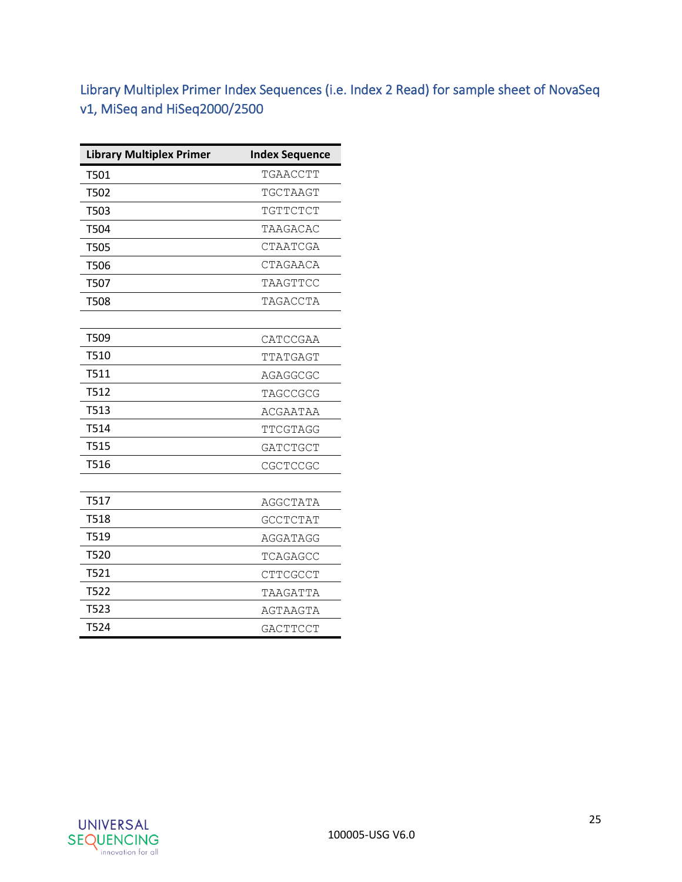<span id="page-25-0"></span>Library Multiplex Primer Index Sequences (i.e. Index 2 Read) for sample sheet of NovaSeq v1, MiSeq and HiSeq2000/2500

| <b>Library Multiplex Primer</b> | <b>Index Sequence</b> |
|---------------------------------|-----------------------|
| T501                            | TGAACCTT              |
| T502                            | TGCTAAGT              |
| T503                            | TGTTCTCT              |
| T504                            | TAAGACAC              |
| T505                            | CTAATCGA              |
| T506                            | CTAGAACA              |
| T507                            | TAAGTTCC              |
| T508                            | TAGACCTA              |
|                                 |                       |
| T509                            | CATCCGAA              |
| T510                            | TTATGAGT              |
| T511                            | AGAGGCGC              |
| T512                            | TAGCCGCG              |
| T513                            | ACGAATAA              |
| T514                            | TTCGTAGG              |
| T515                            | <b>GATCTGCT</b>       |
| T516                            | CGCTCCGC              |
|                                 |                       |
| T517                            | AGGCTATA              |
| T518                            | <b>GCCTCTAT</b>       |
| T519                            | AGGATAGG              |
| T520                            | TCAGAGCC              |
| T521                            | <b>CTTCGCCT</b>       |
| <b>T522</b>                     | TAAGATTA              |
| T523                            | AGTAAGTA              |
| T524                            | <b>GACTTCCT</b>       |